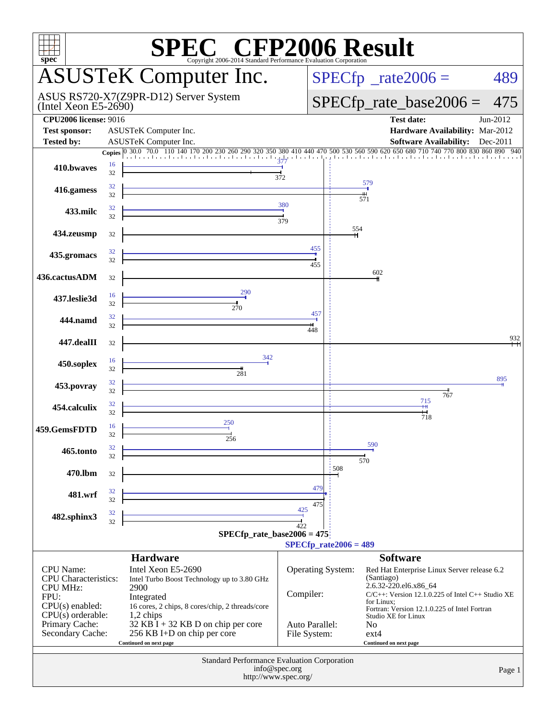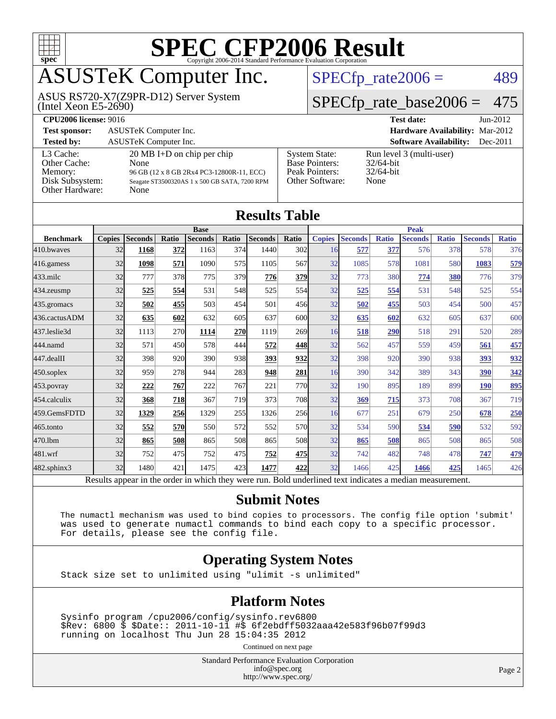

# ASUSTeK Computer Inc.

(Intel Xeon E5-2690) ASUS RS720-X7(Z9PR-D12) Server System  $SPECfp_rate2006 = 489$  $SPECfp_rate2006 = 489$ 

# [SPECfp\\_rate\\_base2006 =](http://www.spec.org/auto/cpu2006/Docs/result-fields.html#SPECfpratebase2006) 475

| <b>CPU2006 license: 9016</b>                                               |                                                                                                                                                    |                                                                                    | <b>Test date:</b><br>$Jun-2012$                                  |  |  |  |
|----------------------------------------------------------------------------|----------------------------------------------------------------------------------------------------------------------------------------------------|------------------------------------------------------------------------------------|------------------------------------------------------------------|--|--|--|
| <b>Test sponsor:</b>                                                       | ASUSTeK Computer Inc.                                                                                                                              | <b>Hardware Availability: Mar-2012</b>                                             |                                                                  |  |  |  |
| <b>Tested by:</b>                                                          | ASUSTeK Computer Inc.                                                                                                                              |                                                                                    | <b>Software Availability:</b><br>$Dec-2011$                      |  |  |  |
| L3 Cache:<br>Other Cache:<br>Memory:<br>Disk Subsystem:<br>Other Hardware: | $20 \text{ MB I+D}$ on chip per chip<br>None<br>96 GB (12 x 8 GB 2Rx4 PC3-12800R-11, ECC)<br>Seagate ST3500320AS 1 x 500 GB SATA, 7200 RPM<br>None | <b>System State:</b><br><b>Base Pointers:</b><br>Peak Pointers:<br>Other Software: | Run level 3 (multi-user)<br>$32/64$ -bit<br>$32/64$ -bit<br>None |  |  |  |

| <b>Results Table</b> |               |                                                                                                          |       |                |            |                |                 |               |                |              |                |              |                |              |
|----------------------|---------------|----------------------------------------------------------------------------------------------------------|-------|----------------|------------|----------------|-----------------|---------------|----------------|--------------|----------------|--------------|----------------|--------------|
|                      | <b>Base</b>   |                                                                                                          |       |                |            |                | <b>Peak</b>     |               |                |              |                |              |                |              |
| <b>Benchmark</b>     | <b>Copies</b> | <b>Seconds</b>                                                                                           | Ratio | <b>Seconds</b> | Ratio      | <b>Seconds</b> | Ratio           | <b>Copies</b> | <b>Seconds</b> | <b>Ratio</b> | <b>Seconds</b> | <b>Ratio</b> | <b>Seconds</b> | <b>Ratio</b> |
| 410.bwayes           | 32            | 1168                                                                                                     | 372   | 1163           | 374        | 1440           | 302             | 16            | 577            | 377          | 576            | 378          | 578            | 376          |
| 416.gamess           | 32            | 1098                                                                                                     | 571   | 1090           | 575        | 1105           | 567             | 32            | 1085           | 578          | 1081           | 580          | 1083           | 579          |
| $433$ .milc          | 32            | 777                                                                                                      | 378   | 775            | 379        | 776            | <b>379</b>      | 32            | 773            | 380          | 774            | 380          | 776            | 379          |
| 434.zeusmp           | 32            | 525                                                                                                      | 554   | 531            | 548        | 525            | 554l            | 32            | 525            | 554          | 531            | 548          | 525            | 554          |
| 435.gromacs          | 32            | 502                                                                                                      | 455   | 503            | 454        | 501            | 456             | 32            | 502            | 455          | 503            | 454          | 500            | 457          |
| 436.cactusADM        | 32            | 635                                                                                                      | 602   | 632            | 605        | 637            | 600             | 32            | 635            | 602          | 632            | 605          | 637            | 600          |
| 437.leslie3d         | 32            | 1113                                                                                                     | 270   | 1114           | 270        | 1119           | 269             | 16            | 518            | 290          | 518            | 291          | 520            | 289          |
| 444.namd             | 32            | 571                                                                                                      | 450   | 578            | 444        | 572            | 448             | 32            | 562            | 457          | 559            | 459          | 561            | 457          |
| 447.dealII           | 32            | 398                                                                                                      | 920   | 390            | 938        | 393            | 932             | 32            | 398            | 920          | 390            | 938          | 393            | 932          |
| $450$ .soplex        | 32            | 959                                                                                                      | 278   | 944            | 283        | 948            | <b>281</b>      | 16            | 390            | 342          | 389            | 343          | 390            | 342          |
| $453$ .povray        | 32            | 222                                                                                                      | 767   | 222            | 767        | 221            | 770l            | 32            | 190            | 895          | 189            | 899          | <b>190</b>     | 895          |
| 454.calculix         | 32            | 368                                                                                                      | 718   | 367            | <b>719</b> | 373            | 708             | 32            | 369            | 715          | 373            | 708          | 367            | 719          |
| 459.GemsFDTD         | 32            | 1329                                                                                                     | 256   | 1329           | 255        | 1326           | 256             | 16            | 677            | 251          | 679            | 250          | 678            | 250          |
| 465.tonto            | 32            | 552                                                                                                      | 570   | 550            | 572        | 552            | 570l            | 32            | 534            | 590          | 534            | 590          | 532            | 592          |
| 470.lbm              | 32            | 865                                                                                                      | 508   | 865            | 508        | 865            | 50 <sub>8</sub> | 32            | 865            | 508          | 865            | 508          | 865            | 508          |
| 481.wrf              | 32            | 752                                                                                                      | 475   | 752            | 475        | 752            | <u>475</u>      | 32            | 742            | 482          | 748            | 478          | 747            | 479          |
| $482$ .sphinx $3$    | 32            | 1480                                                                                                     | 421   | 1475           | 423I       | 1477           | 422             | 32            | 1466           | 425          | 1466           | 425          | 1465           | 426          |
|                      |               | Results appear in the order in which they were run. Bold underlined text indicates a median measurement. |       |                |            |                |                 |               |                |              |                |              |                |              |

#### **[Submit Notes](http://www.spec.org/auto/cpu2006/Docs/result-fields.html#SubmitNotes)**

 The numactl mechanism was used to bind copies to processors. The config file option 'submit' was used to generate numactl commands to bind each copy to a specific processor. For details, please see the config file.

### **[Operating System Notes](http://www.spec.org/auto/cpu2006/Docs/result-fields.html#OperatingSystemNotes)**

Stack size set to unlimited using "ulimit -s unlimited"

### **[Platform Notes](http://www.spec.org/auto/cpu2006/Docs/result-fields.html#PlatformNotes)**

 Sysinfo program /cpu2006/config/sysinfo.rev6800 \$Rev: 6800 \$ \$Date:: 2011-10-11 #\$ 6f2ebdff5032aaa42e583f96b07f99d3 running on localhost Thu Jun 28 15:04:35 2012

Continued on next page

Standard Performance Evaluation Corporation [info@spec.org](mailto:info@spec.org) <http://www.spec.org/>

Page 2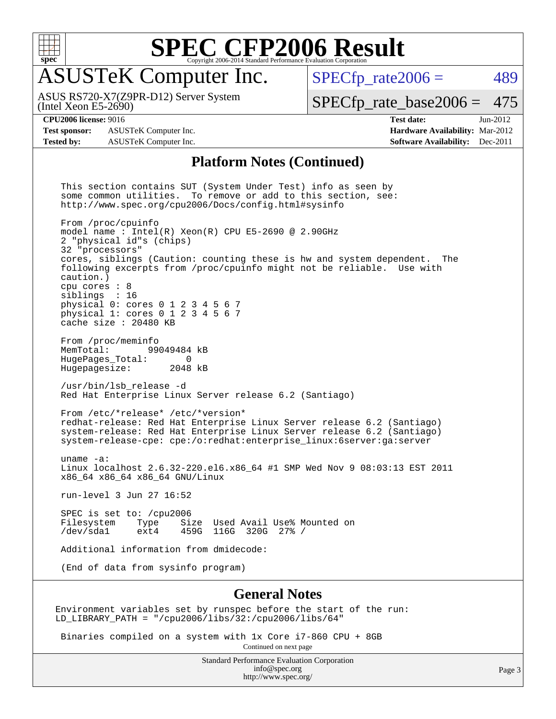

## ASUSTeK Computer Inc.

(Intel Xeon E5-2690) ASUS RS720-X7(Z9PR-D12) Server System  $SPECTp_rate2006 = 489$ 

[SPECfp\\_rate\\_base2006 =](http://www.spec.org/auto/cpu2006/Docs/result-fields.html#SPECfpratebase2006) 475

**[Test sponsor:](http://www.spec.org/auto/cpu2006/Docs/result-fields.html#Testsponsor)** ASUSTeK Computer Inc. **[Hardware Availability:](http://www.spec.org/auto/cpu2006/Docs/result-fields.html#HardwareAvailability)** Mar-2012 **[Tested by:](http://www.spec.org/auto/cpu2006/Docs/result-fields.html#Testedby)** ASUSTeK Computer Inc. **[Software Availability:](http://www.spec.org/auto/cpu2006/Docs/result-fields.html#SoftwareAvailability)** Dec-2011

**[CPU2006 license:](http://www.spec.org/auto/cpu2006/Docs/result-fields.html#CPU2006license)** 9016 **[Test date:](http://www.spec.org/auto/cpu2006/Docs/result-fields.html#Testdate)** Jun-2012

#### **[Platform Notes \(Continued\)](http://www.spec.org/auto/cpu2006/Docs/result-fields.html#PlatformNotes)**

 This section contains SUT (System Under Test) info as seen by some common utilities. To remove or add to this section, see: <http://www.spec.org/cpu2006/Docs/config.html#sysinfo> From /proc/cpuinfo model name : Intel(R) Xeon(R) CPU E5-2690 @ 2.90GHz 2 "physical id"s (chips) 32 "processors" cores, siblings (Caution: counting these is hw and system dependent. The following excerpts from /proc/cpuinfo might not be reliable. Use with caution.) cpu cores : 8 siblings : 16 physical 0: cores 0 1 2 3 4 5 6 7 physical 1: cores 0 1 2 3 4 5 6 7 cache size : 20480 KB From /proc/meminfo<br>MemTotal: 99 99049484 kB HugePages\_Total: 0 Hugepagesize: 2048 kB /usr/bin/lsb\_release -d Red Hat Enterprise Linux Server release 6.2 (Santiago) From /etc/\*release\* /etc/\*version\* redhat-release: Red Hat Enterprise Linux Server release 6.2 (Santiago) system-release: Red Hat Enterprise Linux Server release 6.2 (Santiago) system-release-cpe: cpe:/o:redhat:enterprise\_linux:6server:ga:server uname -a: Linux localhost 2.6.32-220.el6.x86\_64 #1 SMP Wed Nov 9 08:03:13 EST 2011 x86\_64 x86\_64 x86\_64 GNU/Linux run-level 3 Jun 27 16:52 SPEC is set to: /cpu2006<br>Filesystem Type Si Size Used Avail Use% Mounted on /dev/sda1 ext4 459G 116G 320G 27% / Additional information from dmidecode: (End of data from sysinfo program) **[General Notes](http://www.spec.org/auto/cpu2006/Docs/result-fields.html#GeneralNotes)**

Environment variables set by runspec before the start of the run: LD\_LIBRARY\_PATH = "/cpu2006/libs/32:/cpu2006/libs/64"

Binaries compiled on a system with 1x Core i7-860 CPU + 8GB

Continued on next page

Standard Performance Evaluation Corporation [info@spec.org](mailto:info@spec.org) <http://www.spec.org/>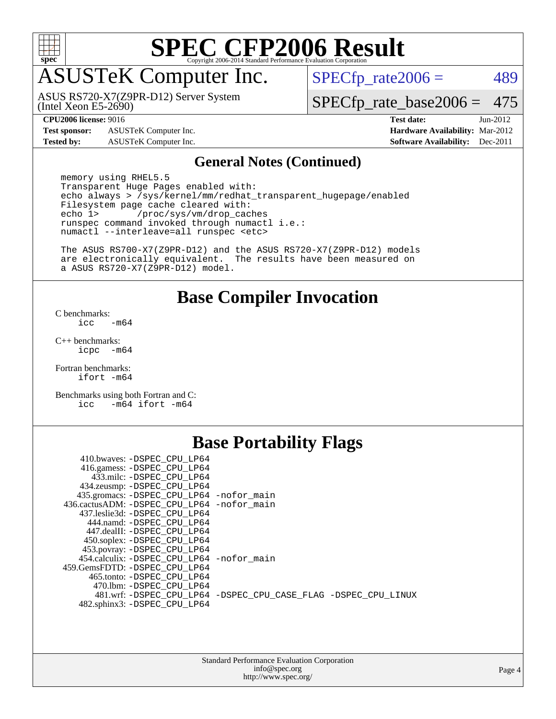

## ASUSTeK Computer Inc.

(Intel Xeon E5-2690) ASUS RS720-X7(Z9PR-D12) Server System  $SPECTp_rate2006 = 489$ 

[SPECfp\\_rate\\_base2006 =](http://www.spec.org/auto/cpu2006/Docs/result-fields.html#SPECfpratebase2006) 475

**[Test sponsor:](http://www.spec.org/auto/cpu2006/Docs/result-fields.html#Testsponsor)** ASUSTeK Computer Inc. **[Hardware Availability:](http://www.spec.org/auto/cpu2006/Docs/result-fields.html#HardwareAvailability)** Mar-2012

**[CPU2006 license:](http://www.spec.org/auto/cpu2006/Docs/result-fields.html#CPU2006license)** 9016 **[Test date:](http://www.spec.org/auto/cpu2006/Docs/result-fields.html#Testdate)** Jun-2012 **[Tested by:](http://www.spec.org/auto/cpu2006/Docs/result-fields.html#Testedby)** ASUSTeK Computer Inc. **[Software Availability:](http://www.spec.org/auto/cpu2006/Docs/result-fields.html#SoftwareAvailability)** Dec-2011

#### **[General Notes \(Continued\)](http://www.spec.org/auto/cpu2006/Docs/result-fields.html#GeneralNotes)**

 memory using RHEL5.5 Transparent Huge Pages enabled with: echo always > /sys/kernel/mm/redhat\_transparent\_hugepage/enabled Filesystem page cache cleared with:<br>echo 1> /proc/sys/ym/drop cac /proc/sys/vm/drop\_caches runspec command invoked through numactl i.e.: numactl --interleave=all runspec <etc>

 The ASUS RS700-X7(Z9PR-D12) and the ASUS RS720-X7(Z9PR-D12) models are electronically equivalent. The results have been measured on a ASUS RS720-X7(Z9PR-D12) model.

### **[Base Compiler Invocation](http://www.spec.org/auto/cpu2006/Docs/result-fields.html#BaseCompilerInvocation)**

[C benchmarks](http://www.spec.org/auto/cpu2006/Docs/result-fields.html#Cbenchmarks):  $\text{icc}$   $-\text{m64}$ 

[C++ benchmarks:](http://www.spec.org/auto/cpu2006/Docs/result-fields.html#CXXbenchmarks) [icpc -m64](http://www.spec.org/cpu2006/results/res2012q3/cpu2006-20120703-23527.flags.html#user_CXXbase_intel_icpc_64bit_bedb90c1146cab66620883ef4f41a67e)

[Fortran benchmarks](http://www.spec.org/auto/cpu2006/Docs/result-fields.html#Fortranbenchmarks): [ifort -m64](http://www.spec.org/cpu2006/results/res2012q3/cpu2006-20120703-23527.flags.html#user_FCbase_intel_ifort_64bit_ee9d0fb25645d0210d97eb0527dcc06e)

[Benchmarks using both Fortran and C](http://www.spec.org/auto/cpu2006/Docs/result-fields.html#BenchmarksusingbothFortranandC): [icc -m64](http://www.spec.org/cpu2006/results/res2012q3/cpu2006-20120703-23527.flags.html#user_CC_FCbase_intel_icc_64bit_0b7121f5ab7cfabee23d88897260401c) [ifort -m64](http://www.spec.org/cpu2006/results/res2012q3/cpu2006-20120703-23527.flags.html#user_CC_FCbase_intel_ifort_64bit_ee9d0fb25645d0210d97eb0527dcc06e)

### **[Base Portability Flags](http://www.spec.org/auto/cpu2006/Docs/result-fields.html#BasePortabilityFlags)**

| 410.bwaves: -DSPEC CPU LP64                 |                                                                |
|---------------------------------------------|----------------------------------------------------------------|
| 416.gamess: -DSPEC_CPU_LP64                 |                                                                |
| 433.milc: -DSPEC CPU LP64                   |                                                                |
| 434.zeusmp: - DSPEC_CPU_LP64                |                                                                |
| 435.gromacs: -DSPEC_CPU_LP64 -nofor_main    |                                                                |
| 436.cactusADM: -DSPEC CPU LP64 -nofor main  |                                                                |
| 437.leslie3d: -DSPEC CPU LP64               |                                                                |
| 444.namd: - DSPEC CPU LP64                  |                                                                |
| 447.dealII: -DSPEC CPU LP64                 |                                                                |
| 450.soplex: - DSPEC_CPU_LP64                |                                                                |
| 453.povray: -DSPEC_CPU_LP64                 |                                                                |
| 454.calculix: - DSPEC CPU LP64 - nofor main |                                                                |
| 459.GemsFDTD: -DSPEC CPU LP64               |                                                                |
| 465.tonto: -DSPEC CPU LP64                  |                                                                |
| 470.1bm: - DSPEC CPU LP64                   |                                                                |
|                                             | 481.wrf: -DSPEC CPU_LP64 -DSPEC_CPU_CASE_FLAG -DSPEC_CPU_LINUX |
| 482.sphinx3: -DSPEC_CPU_LP64                |                                                                |
|                                             |                                                                |
|                                             |                                                                |

| <b>Standard Performance Evaluation Corporation</b> |
|----------------------------------------------------|
| info@spec.org                                      |
| http://www.spec.org/                               |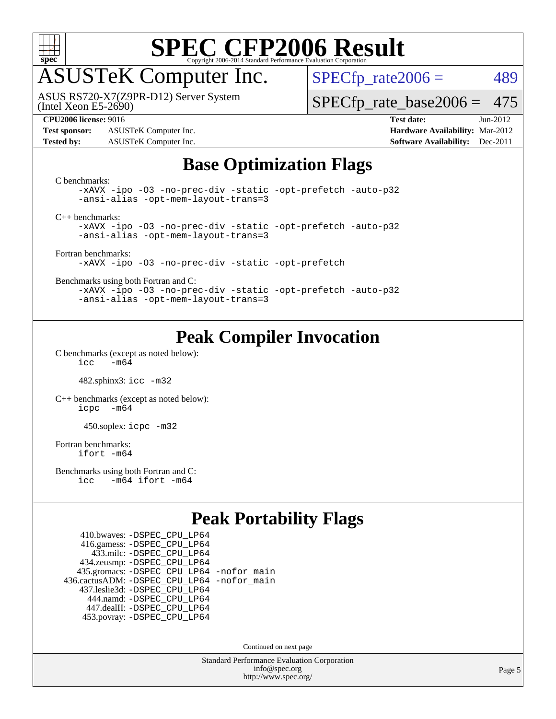

## ASUSTeK Computer Inc.

(Intel Xeon E5-2690) ASUS RS720-X7(Z9PR-D12) Server System  $SPECTp_rate2006 = 489$ 

[SPECfp\\_rate\\_base2006 =](http://www.spec.org/auto/cpu2006/Docs/result-fields.html#SPECfpratebase2006) 475

**[Test sponsor:](http://www.spec.org/auto/cpu2006/Docs/result-fields.html#Testsponsor)** ASUSTeK Computer Inc. **[Hardware Availability:](http://www.spec.org/auto/cpu2006/Docs/result-fields.html#HardwareAvailability)** Mar-2012 **[Tested by:](http://www.spec.org/auto/cpu2006/Docs/result-fields.html#Testedby)** ASUSTeK Computer Inc. **[Software Availability:](http://www.spec.org/auto/cpu2006/Docs/result-fields.html#SoftwareAvailability)** Dec-2011

**[CPU2006 license:](http://www.spec.org/auto/cpu2006/Docs/result-fields.html#CPU2006license)** 9016 **[Test date:](http://www.spec.org/auto/cpu2006/Docs/result-fields.html#Testdate)** Jun-2012

### **[Base Optimization Flags](http://www.spec.org/auto/cpu2006/Docs/result-fields.html#BaseOptimizationFlags)**

| C benchmarks:<br>-xAVX -ipo -03 -no-prec-div -static -opt-prefetch -auto-p32<br>-ansi-alias -opt-mem-layout-trans=3 |
|---------------------------------------------------------------------------------------------------------------------|
| $C_{++}$ benchmarks:                                                                                                |
| -xAVX -ipo -03 -no-prec-div -static -opt-prefetch -auto-p32<br>-ansi-alias -opt-mem-layout-trans=3                  |
| Fortran benchmarks:<br>-xAVX -ipo -03 -no-prec-div -static -opt-prefetch                                            |
| Benchmarks using both Fortran and C:                                                                                |
| -xAVX -ipo -03 -no-prec-div -static -opt-prefetch -auto-p32<br>-ansi-alias -opt-mem-layout-trans=3                  |

### **[Peak Compiler Invocation](http://www.spec.org/auto/cpu2006/Docs/result-fields.html#PeakCompilerInvocation)**

[C benchmarks \(except as noted below\)](http://www.spec.org/auto/cpu2006/Docs/result-fields.html#Cbenchmarksexceptasnotedbelow):  $\text{icc}$  -m64

482.sphinx3: [icc -m32](http://www.spec.org/cpu2006/results/res2012q3/cpu2006-20120703-23527.flags.html#user_peakCCLD482_sphinx3_intel_icc_a6a621f8d50482236b970c6ac5f55f93)

[C++ benchmarks \(except as noted below\):](http://www.spec.org/auto/cpu2006/Docs/result-fields.html#CXXbenchmarksexceptasnotedbelow) [icpc -m64](http://www.spec.org/cpu2006/results/res2012q3/cpu2006-20120703-23527.flags.html#user_CXXpeak_intel_icpc_64bit_bedb90c1146cab66620883ef4f41a67e)

450.soplex: [icpc -m32](http://www.spec.org/cpu2006/results/res2012q3/cpu2006-20120703-23527.flags.html#user_peakCXXLD450_soplex_intel_icpc_4e5a5ef1a53fd332b3c49e69c3330699)

[Fortran benchmarks](http://www.spec.org/auto/cpu2006/Docs/result-fields.html#Fortranbenchmarks): [ifort -m64](http://www.spec.org/cpu2006/results/res2012q3/cpu2006-20120703-23527.flags.html#user_FCpeak_intel_ifort_64bit_ee9d0fb25645d0210d97eb0527dcc06e)

[Benchmarks using both Fortran and C](http://www.spec.org/auto/cpu2006/Docs/result-fields.html#BenchmarksusingbothFortranandC): [icc -m64](http://www.spec.org/cpu2006/results/res2012q3/cpu2006-20120703-23527.flags.html#user_CC_FCpeak_intel_icc_64bit_0b7121f5ab7cfabee23d88897260401c) [ifort -m64](http://www.spec.org/cpu2006/results/res2012q3/cpu2006-20120703-23527.flags.html#user_CC_FCpeak_intel_ifort_64bit_ee9d0fb25645d0210d97eb0527dcc06e)

### **[Peak Portability Flags](http://www.spec.org/auto/cpu2006/Docs/result-fields.html#PeakPortabilityFlags)**

 410.bwaves: [-DSPEC\\_CPU\\_LP64](http://www.spec.org/cpu2006/results/res2012q3/cpu2006-20120703-23527.flags.html#suite_peakPORTABILITY410_bwaves_DSPEC_CPU_LP64) 416.gamess: [-DSPEC\\_CPU\\_LP64](http://www.spec.org/cpu2006/results/res2012q3/cpu2006-20120703-23527.flags.html#suite_peakPORTABILITY416_gamess_DSPEC_CPU_LP64) 433.milc: [-DSPEC\\_CPU\\_LP64](http://www.spec.org/cpu2006/results/res2012q3/cpu2006-20120703-23527.flags.html#suite_peakPORTABILITY433_milc_DSPEC_CPU_LP64) 434.zeusmp: [-DSPEC\\_CPU\\_LP64](http://www.spec.org/cpu2006/results/res2012q3/cpu2006-20120703-23527.flags.html#suite_peakPORTABILITY434_zeusmp_DSPEC_CPU_LP64) 435.gromacs: [-DSPEC\\_CPU\\_LP64](http://www.spec.org/cpu2006/results/res2012q3/cpu2006-20120703-23527.flags.html#suite_peakPORTABILITY435_gromacs_DSPEC_CPU_LP64) [-nofor\\_main](http://www.spec.org/cpu2006/results/res2012q3/cpu2006-20120703-23527.flags.html#user_peakLDPORTABILITY435_gromacs_f-nofor_main) 436.cactusADM: [-DSPEC\\_CPU\\_LP64](http://www.spec.org/cpu2006/results/res2012q3/cpu2006-20120703-23527.flags.html#suite_peakPORTABILITY436_cactusADM_DSPEC_CPU_LP64) [-nofor\\_main](http://www.spec.org/cpu2006/results/res2012q3/cpu2006-20120703-23527.flags.html#user_peakLDPORTABILITY436_cactusADM_f-nofor_main) 437.leslie3d: [-DSPEC\\_CPU\\_LP64](http://www.spec.org/cpu2006/results/res2012q3/cpu2006-20120703-23527.flags.html#suite_peakPORTABILITY437_leslie3d_DSPEC_CPU_LP64) 444.namd: [-DSPEC\\_CPU\\_LP64](http://www.spec.org/cpu2006/results/res2012q3/cpu2006-20120703-23527.flags.html#suite_peakPORTABILITY444_namd_DSPEC_CPU_LP64) 447.dealII: [-DSPEC\\_CPU\\_LP64](http://www.spec.org/cpu2006/results/res2012q3/cpu2006-20120703-23527.flags.html#suite_peakPORTABILITY447_dealII_DSPEC_CPU_LP64) 453.povray: [-DSPEC\\_CPU\\_LP64](http://www.spec.org/cpu2006/results/res2012q3/cpu2006-20120703-23527.flags.html#suite_peakPORTABILITY453_povray_DSPEC_CPU_LP64)

Continued on next page

Standard Performance Evaluation Corporation [info@spec.org](mailto:info@spec.org) <http://www.spec.org/>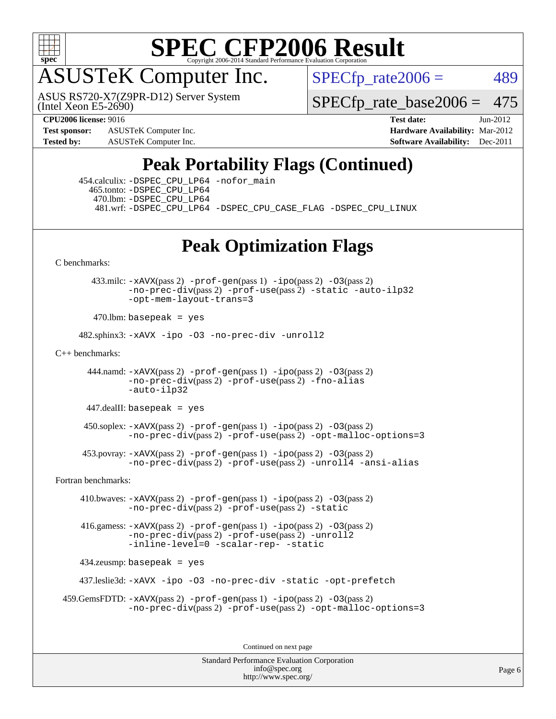

# ASUSTeK Computer Inc.

(Intel Xeon E5-2690) ASUS RS720-X7(Z9PR-D12) Server System  $SPECTp_rate2006 = 489$ 

[SPECfp\\_rate\\_base2006 =](http://www.spec.org/auto/cpu2006/Docs/result-fields.html#SPECfpratebase2006) 475

**[Test sponsor:](http://www.spec.org/auto/cpu2006/Docs/result-fields.html#Testsponsor)** ASUSTeK Computer Inc. **[Hardware Availability:](http://www.spec.org/auto/cpu2006/Docs/result-fields.html#HardwareAvailability)** Mar-2012

**[CPU2006 license:](http://www.spec.org/auto/cpu2006/Docs/result-fields.html#CPU2006license)** 9016 **[Test date:](http://www.spec.org/auto/cpu2006/Docs/result-fields.html#Testdate)** Jun-2012 **[Tested by:](http://www.spec.org/auto/cpu2006/Docs/result-fields.html#Testedby)** ASUSTeK Computer Inc. **[Software Availability:](http://www.spec.org/auto/cpu2006/Docs/result-fields.html#SoftwareAvailability)** Dec-2011

### **[Peak Portability Flags \(Continued\)](http://www.spec.org/auto/cpu2006/Docs/result-fields.html#PeakPortabilityFlags)**

 454.calculix: [-DSPEC\\_CPU\\_LP64](http://www.spec.org/cpu2006/results/res2012q3/cpu2006-20120703-23527.flags.html#suite_peakPORTABILITY454_calculix_DSPEC_CPU_LP64) [-nofor\\_main](http://www.spec.org/cpu2006/results/res2012q3/cpu2006-20120703-23527.flags.html#user_peakLDPORTABILITY454_calculix_f-nofor_main) 465.tonto: [-DSPEC\\_CPU\\_LP64](http://www.spec.org/cpu2006/results/res2012q3/cpu2006-20120703-23527.flags.html#suite_peakPORTABILITY465_tonto_DSPEC_CPU_LP64) 470.lbm: [-DSPEC\\_CPU\\_LP64](http://www.spec.org/cpu2006/results/res2012q3/cpu2006-20120703-23527.flags.html#suite_peakPORTABILITY470_lbm_DSPEC_CPU_LP64) 481.wrf: [-DSPEC\\_CPU\\_LP64](http://www.spec.org/cpu2006/results/res2012q3/cpu2006-20120703-23527.flags.html#suite_peakPORTABILITY481_wrf_DSPEC_CPU_LP64) [-DSPEC\\_CPU\\_CASE\\_FLAG](http://www.spec.org/cpu2006/results/res2012q3/cpu2006-20120703-23527.flags.html#b481.wrf_peakCPORTABILITY_DSPEC_CPU_CASE_FLAG) [-DSPEC\\_CPU\\_LINUX](http://www.spec.org/cpu2006/results/res2012q3/cpu2006-20120703-23527.flags.html#b481.wrf_peakCPORTABILITY_DSPEC_CPU_LINUX)

### **[Peak Optimization Flags](http://www.spec.org/auto/cpu2006/Docs/result-fields.html#PeakOptimizationFlags)**

[C benchmarks](http://www.spec.org/auto/cpu2006/Docs/result-fields.html#Cbenchmarks):

 433.milc: [-xAVX](http://www.spec.org/cpu2006/results/res2012q3/cpu2006-20120703-23527.flags.html#user_peakPASS2_CFLAGSPASS2_LDFLAGS433_milc_f-xAVX)(pass 2) [-prof-gen](http://www.spec.org/cpu2006/results/res2012q3/cpu2006-20120703-23527.flags.html#user_peakPASS1_CFLAGSPASS1_LDFLAGS433_milc_prof_gen_e43856698f6ca7b7e442dfd80e94a8fc)(pass 1) [-ipo](http://www.spec.org/cpu2006/results/res2012q3/cpu2006-20120703-23527.flags.html#user_peakPASS2_CFLAGSPASS2_LDFLAGS433_milc_f-ipo)(pass 2) [-O3](http://www.spec.org/cpu2006/results/res2012q3/cpu2006-20120703-23527.flags.html#user_peakPASS2_CFLAGSPASS2_LDFLAGS433_milc_f-O3)(pass 2) [-no-prec-div](http://www.spec.org/cpu2006/results/res2012q3/cpu2006-20120703-23527.flags.html#user_peakPASS2_CFLAGSPASS2_LDFLAGS433_milc_f-no-prec-div)(pass 2) [-prof-use](http://www.spec.org/cpu2006/results/res2012q3/cpu2006-20120703-23527.flags.html#user_peakPASS2_CFLAGSPASS2_LDFLAGS433_milc_prof_use_bccf7792157ff70d64e32fe3e1250b55)(pass 2) [-static](http://www.spec.org/cpu2006/results/res2012q3/cpu2006-20120703-23527.flags.html#user_peakOPTIMIZE433_milc_f-static) [-auto-ilp32](http://www.spec.org/cpu2006/results/res2012q3/cpu2006-20120703-23527.flags.html#user_peakCOPTIMIZE433_milc_f-auto-ilp32) [-opt-mem-layout-trans=3](http://www.spec.org/cpu2006/results/res2012q3/cpu2006-20120703-23527.flags.html#user_peakCOPTIMIZE433_milc_f-opt-mem-layout-trans_a7b82ad4bd7abf52556d4961a2ae94d5)

 $470$ .lbm: basepeak = yes

482.sphinx3: [-xAVX](http://www.spec.org/cpu2006/results/res2012q3/cpu2006-20120703-23527.flags.html#user_peakOPTIMIZE482_sphinx3_f-xAVX) [-ipo](http://www.spec.org/cpu2006/results/res2012q3/cpu2006-20120703-23527.flags.html#user_peakOPTIMIZE482_sphinx3_f-ipo) [-O3](http://www.spec.org/cpu2006/results/res2012q3/cpu2006-20120703-23527.flags.html#user_peakOPTIMIZE482_sphinx3_f-O3) [-no-prec-div](http://www.spec.org/cpu2006/results/res2012q3/cpu2006-20120703-23527.flags.html#user_peakOPTIMIZE482_sphinx3_f-no-prec-div) [-unroll2](http://www.spec.org/cpu2006/results/res2012q3/cpu2006-20120703-23527.flags.html#user_peakCOPTIMIZE482_sphinx3_f-unroll_784dae83bebfb236979b41d2422d7ec2)

[C++ benchmarks:](http://www.spec.org/auto/cpu2006/Docs/result-fields.html#CXXbenchmarks)

444.namd:  $-x$ AVX(pass 2)  $-p$ rof-gen(pass 1)  $-p$ po(pass 2)  $-03$ (pass 2) [-no-prec-div](http://www.spec.org/cpu2006/results/res2012q3/cpu2006-20120703-23527.flags.html#user_peakPASS2_CXXFLAGSPASS2_LDFLAGS444_namd_f-no-prec-div)(pass 2) [-prof-use](http://www.spec.org/cpu2006/results/res2012q3/cpu2006-20120703-23527.flags.html#user_peakPASS2_CXXFLAGSPASS2_LDFLAGS444_namd_prof_use_bccf7792157ff70d64e32fe3e1250b55)(pass 2) [-fno-alias](http://www.spec.org/cpu2006/results/res2012q3/cpu2006-20120703-23527.flags.html#user_peakCXXOPTIMIZE444_namd_f-no-alias_694e77f6c5a51e658e82ccff53a9e63a) [-auto-ilp32](http://www.spec.org/cpu2006/results/res2012q3/cpu2006-20120703-23527.flags.html#user_peakCXXOPTIMIZE444_namd_f-auto-ilp32)

447.dealII: basepeak = yes

 $450$ .soplex:  $-x$ AVX(pass 2)  $-p$ rof-gen(pass 1)  $-i$ po(pass 2)  $-03$ (pass 2) [-no-prec-div](http://www.spec.org/cpu2006/results/res2012q3/cpu2006-20120703-23527.flags.html#user_peakPASS2_CXXFLAGSPASS2_LDFLAGS450_soplex_f-no-prec-div)(pass 2) [-prof-use](http://www.spec.org/cpu2006/results/res2012q3/cpu2006-20120703-23527.flags.html#user_peakPASS2_CXXFLAGSPASS2_LDFLAGS450_soplex_prof_use_bccf7792157ff70d64e32fe3e1250b55)(pass 2) [-opt-malloc-options=3](http://www.spec.org/cpu2006/results/res2012q3/cpu2006-20120703-23527.flags.html#user_peakOPTIMIZE450_soplex_f-opt-malloc-options_13ab9b803cf986b4ee62f0a5998c2238)

 453.povray: [-xAVX](http://www.spec.org/cpu2006/results/res2012q3/cpu2006-20120703-23527.flags.html#user_peakPASS2_CXXFLAGSPASS2_LDFLAGS453_povray_f-xAVX)(pass 2) [-prof-gen](http://www.spec.org/cpu2006/results/res2012q3/cpu2006-20120703-23527.flags.html#user_peakPASS1_CXXFLAGSPASS1_LDFLAGS453_povray_prof_gen_e43856698f6ca7b7e442dfd80e94a8fc)(pass 1) [-ipo](http://www.spec.org/cpu2006/results/res2012q3/cpu2006-20120703-23527.flags.html#user_peakPASS2_CXXFLAGSPASS2_LDFLAGS453_povray_f-ipo)(pass 2) [-O3](http://www.spec.org/cpu2006/results/res2012q3/cpu2006-20120703-23527.flags.html#user_peakPASS2_CXXFLAGSPASS2_LDFLAGS453_povray_f-O3)(pass 2) [-no-prec-div](http://www.spec.org/cpu2006/results/res2012q3/cpu2006-20120703-23527.flags.html#user_peakPASS2_CXXFLAGSPASS2_LDFLAGS453_povray_f-no-prec-div)(pass 2) [-prof-use](http://www.spec.org/cpu2006/results/res2012q3/cpu2006-20120703-23527.flags.html#user_peakPASS2_CXXFLAGSPASS2_LDFLAGS453_povray_prof_use_bccf7792157ff70d64e32fe3e1250b55)(pass 2) [-unroll4](http://www.spec.org/cpu2006/results/res2012q3/cpu2006-20120703-23527.flags.html#user_peakCXXOPTIMIZE453_povray_f-unroll_4e5e4ed65b7fd20bdcd365bec371b81f) [-ansi-alias](http://www.spec.org/cpu2006/results/res2012q3/cpu2006-20120703-23527.flags.html#user_peakCXXOPTIMIZE453_povray_f-ansi-alias)

[Fortran benchmarks](http://www.spec.org/auto/cpu2006/Docs/result-fields.html#Fortranbenchmarks):

 410.bwaves: [-xAVX](http://www.spec.org/cpu2006/results/res2012q3/cpu2006-20120703-23527.flags.html#user_peakPASS2_FFLAGSPASS2_LDFLAGS410_bwaves_f-xAVX)(pass 2) [-prof-gen](http://www.spec.org/cpu2006/results/res2012q3/cpu2006-20120703-23527.flags.html#user_peakPASS1_FFLAGSPASS1_LDFLAGS410_bwaves_prof_gen_e43856698f6ca7b7e442dfd80e94a8fc)(pass 1) [-ipo](http://www.spec.org/cpu2006/results/res2012q3/cpu2006-20120703-23527.flags.html#user_peakPASS2_FFLAGSPASS2_LDFLAGS410_bwaves_f-ipo)(pass 2) [-O3](http://www.spec.org/cpu2006/results/res2012q3/cpu2006-20120703-23527.flags.html#user_peakPASS2_FFLAGSPASS2_LDFLAGS410_bwaves_f-O3)(pass 2) [-no-prec-div](http://www.spec.org/cpu2006/results/res2012q3/cpu2006-20120703-23527.flags.html#user_peakPASS2_FFLAGSPASS2_LDFLAGS410_bwaves_f-no-prec-div)(pass 2) [-prof-use](http://www.spec.org/cpu2006/results/res2012q3/cpu2006-20120703-23527.flags.html#user_peakPASS2_FFLAGSPASS2_LDFLAGS410_bwaves_prof_use_bccf7792157ff70d64e32fe3e1250b55)(pass 2) [-static](http://www.spec.org/cpu2006/results/res2012q3/cpu2006-20120703-23527.flags.html#user_peakOPTIMIZE410_bwaves_f-static)

 416.gamess: [-xAVX](http://www.spec.org/cpu2006/results/res2012q3/cpu2006-20120703-23527.flags.html#user_peakPASS2_FFLAGSPASS2_LDFLAGS416_gamess_f-xAVX)(pass 2) [-prof-gen](http://www.spec.org/cpu2006/results/res2012q3/cpu2006-20120703-23527.flags.html#user_peakPASS1_FFLAGSPASS1_LDFLAGS416_gamess_prof_gen_e43856698f6ca7b7e442dfd80e94a8fc)(pass 1) [-ipo](http://www.spec.org/cpu2006/results/res2012q3/cpu2006-20120703-23527.flags.html#user_peakPASS2_FFLAGSPASS2_LDFLAGS416_gamess_f-ipo)(pass 2) [-O3](http://www.spec.org/cpu2006/results/res2012q3/cpu2006-20120703-23527.flags.html#user_peakPASS2_FFLAGSPASS2_LDFLAGS416_gamess_f-O3)(pass 2)  $-$ no-prec-div $(pass 2)$  [-prof-use](http://www.spec.org/cpu2006/results/res2012q3/cpu2006-20120703-23527.flags.html#user_peakPASS2_FFLAGSPASS2_LDFLAGS416_gamess_prof_use_bccf7792157ff70d64e32fe3e1250b55) $(pass 2)$  [-unroll2](http://www.spec.org/cpu2006/results/res2012q3/cpu2006-20120703-23527.flags.html#user_peakOPTIMIZE416_gamess_f-unroll_784dae83bebfb236979b41d2422d7ec2) [-inline-level=0](http://www.spec.org/cpu2006/results/res2012q3/cpu2006-20120703-23527.flags.html#user_peakOPTIMIZE416_gamess_f-inline-level_318d07a09274ad25e8d15dbfaa68ba50) [-scalar-rep-](http://www.spec.org/cpu2006/results/res2012q3/cpu2006-20120703-23527.flags.html#user_peakOPTIMIZE416_gamess_f-disablescalarrep_abbcad04450fb118e4809c81d83c8a1d) [-static](http://www.spec.org/cpu2006/results/res2012q3/cpu2006-20120703-23527.flags.html#user_peakOPTIMIZE416_gamess_f-static)

434.zeusmp: basepeak = yes

437.leslie3d: [-xAVX](http://www.spec.org/cpu2006/results/res2012q3/cpu2006-20120703-23527.flags.html#user_peakOPTIMIZE437_leslie3d_f-xAVX) [-ipo](http://www.spec.org/cpu2006/results/res2012q3/cpu2006-20120703-23527.flags.html#user_peakOPTIMIZE437_leslie3d_f-ipo) [-O3](http://www.spec.org/cpu2006/results/res2012q3/cpu2006-20120703-23527.flags.html#user_peakOPTIMIZE437_leslie3d_f-O3) [-no-prec-div](http://www.spec.org/cpu2006/results/res2012q3/cpu2006-20120703-23527.flags.html#user_peakOPTIMIZE437_leslie3d_f-no-prec-div) [-static](http://www.spec.org/cpu2006/results/res2012q3/cpu2006-20120703-23527.flags.html#user_peakOPTIMIZE437_leslie3d_f-static) [-opt-prefetch](http://www.spec.org/cpu2006/results/res2012q3/cpu2006-20120703-23527.flags.html#user_peakOPTIMIZE437_leslie3d_f-opt-prefetch)

```
 459.GemsFDTD: -xAVX(pass 2) -prof-gen(pass 1) -ipo(pass 2) -O3(pass 2)
  -no-prec-div(pass 2) -prof-use(pass 2) -opt-malloc-options=3
```
Continued on next page

Standard Performance Evaluation Corporation [info@spec.org](mailto:info@spec.org) <http://www.spec.org/>

Page 6